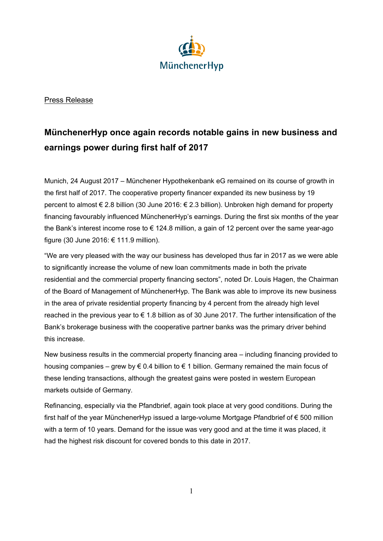

## Press Release

## **MünchenerHyp once again records notable gains in new business and earnings power during first half of 2017**

Munich, 24 August 2017 – Münchener Hypothekenbank eG remained on its course of growth in the first half of 2017. The cooperative property financer expanded its new business by 19 percent to almost € 2.8 billion (30 June 2016: € 2.3 billion). Unbroken high demand for property financing favourably influenced MünchenerHyp's earnings. During the first six months of the year the Bank's interest income rose to € 124.8 million, a gain of 12 percent over the same year-ago figure (30 June 2016: € 111.9 million).

"We are very pleased with the way our business has developed thus far in 2017 as we were able to significantly increase the volume of new loan commitments made in both the private residential and the commercial property financing sectors", noted Dr. Louis Hagen, the Chairman of the Board of Management of MünchenerHyp. The Bank was able to improve its new business in the area of private residential property financing by 4 percent from the already high level reached in the previous year to  $\epsilon$  1.8 billion as of 30 June 2017. The further intensification of the Bank's brokerage business with the cooperative partner banks was the primary driver behind this increase.

New business results in the commercial property financing area – including financing provided to housing companies – grew by  $\epsilon$  0.4 billion to  $\epsilon$  1 billion. Germany remained the main focus of these lending transactions, although the greatest gains were posted in western European markets outside of Germany.

Refinancing, especially via the Pfandbrief, again took place at very good conditions. During the first half of the year MünchenerHyp issued a large-volume Mortgage Pfandbrief of € 500 million with a term of 10 years. Demand for the issue was very good and at the time it was placed, it had the highest risk discount for covered bonds to this date in 2017.